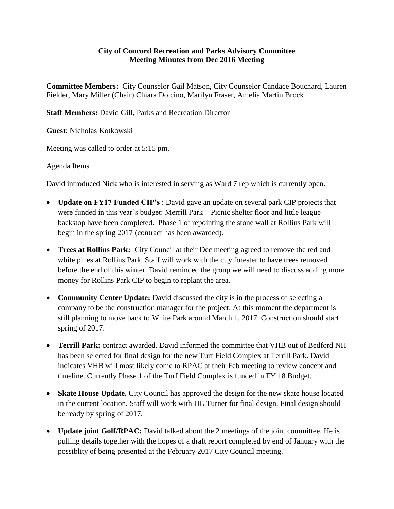## **City of Concord Recreation and Parks Advisory Committee Meeting Minutes from Dec 2016 Meeting**

**Committee Members:** City Counselor Gail Matson, City Counselor Candace Bouchard, Lauren Fielder, Mary Miller (Chair) Chiara Dolcino, Marilyn Fraser, Amelia Martin Brock

**Staff Members:** David Gill, Parks and Recreation Director

**Guest**: Nicholas Kotkowski

Meeting was called to order at 5:15 pm.

Agenda Items

David introduced Nick who is interested in serving as Ward 7 rep which is currently open.

- **Update on FY17 Funded CIP's** : David gave an update on several park CIP projects that were funded in this year's budget: Merrill Park – Picnic shelter floor and little league backstop have been completed. Phase 1 of repointing the stone wall at Rollins Park will begin in the spring 2017 (contract has been awarded).
- **Trees at Rollins Park:** City Council at their Dec meeting agreed to remove the red and white pines at Rollins Park. Staff will work with the city forester to have trees removed before the end of this winter. David reminded the group we will need to discuss adding more money for Rollins Park CIP to begin to replant the area.
- **Community Center Update:** David discussed the city is in the process of selecting a company to be the construction manager for the project. At this moment the department is still planning to move back to White Park around March 1, 2017. Construction should start spring of 2017.
- **Terrill Park:** contract awarded. David informed the committee that VHB out of Bedford NH has been selected for final design for the new Turf Field Complex at Terrill Park. David indicates VHB will most likely come to RPAC at their Feb meeting to review concept and timeline. Currently Phase 1 of the Turf Field Complex is funded in FY 18 Budget.
- **Skate House Update.** City Council has approved the design for the new skate house located in the current location. Staff will work with HL Turner for final design. Final design should be ready by spring of 2017.
- Update joint Golf/RPAC: David talked about the 2 meetings of the joint committee. He is pulling details together with the hopes of a draft report completed by end of January with the possiblity of being presented at the February 2017 City Council meeting.